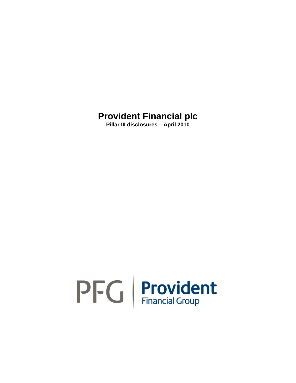**Pillar III disclosures – April 2010** 

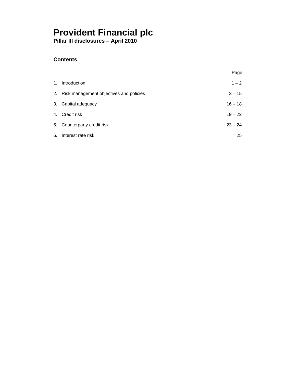**Pillar III disclosures – April 2010** 

## **Contents**

|    |                                            | Page      |
|----|--------------------------------------------|-----------|
| 1. | Introduction                               | $1 - 2$   |
|    | 2. Risk management objectives and policies | $3 - 15$  |
|    | 3. Capital adequacy                        | $16 - 18$ |
|    | 4. Credit risk                             | $19 - 22$ |
|    | 5. Counterparty credit risk                | $23 - 24$ |
| 6. | Interest rate risk                         | 25        |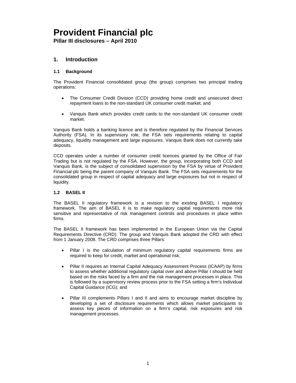**Pillar III disclosures – April 2010** 

### **1. Introduction**

### **1.1 Background**

The Provident Financial consolidated group (the group) comprises two principal trading operations:

- The Consumer Credit Division (CCD) providing home credit and unsecured direct repayment loans to the non-standard UK consumer credit market; and
- Vanquis Bank which provides credit cards to the non-standard UK consumer credit market.

Vanquis Bank holds a banking licence and is therefore regulated by the Financial Services Authority (FSA). In its supervisory role, the FSA sets requirements relating to capital adequacy, liquidity management and large exposures. Vanquis Bank does not currently take deposits.

CCD operates under a number of consumer credit licences granted by the Office of Fair Trading but is not regulated by the FSA. However, the group, incorporating both CCD and Vanquis Bank, is the subject of consolidated supervision by the FSA by virtue of Provident Financial plc being the parent company of Vanquis Bank. The FSA sets requirements for the consolidated group in respect of capital adequacy and large exposures but not in respect of liquidity.

### **1.2 BASEL II**

The BASEL II regulatory framework is a revision to the existing BASEL I regulatory framework. The aim of BASEL II is to make regulatory capital requirements more risk sensitive and representative of risk management controls and procedures in place within firms.

The BASEL II framework has been implemented in the European Union via the Capital Requirements Directive (CRD). The group and Vanquis Bank adopted the CRD with effect from 1 January 2008. The CRD comprises three Pillars:

- Pillar I is the calculation of minimum regulatory capital requirements firms are required to keep for credit, market and operational risk;
- Pillar II requires an Internal Capital Adequacy Assessment Process (ICAAP) by firms to assess whether additional regulatory capital over and above Pillar I should be held based on the risks faced by a firm and the risk management processes in place. This is followed by a supervisory review process prior to the FSA setting a firm's Individual Capital Guidance (ICG); and
- Pillar III complements Pillars I and II and aims to encourage market discipline by developing a set of disclosure requirements which allows market participants to assess key pieces of information on a firm's capital, risk exposures and risk management processes.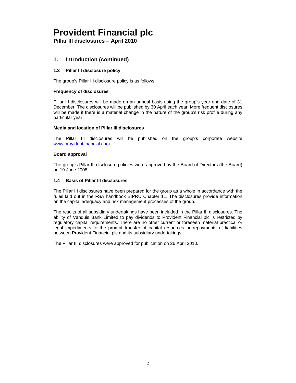**Pillar III disclosures – April 2010** 

## **1. Introduction (continued)**

### **1.3 Pillar III disclosure policy**

The group's Pillar III disclosure policy is as follows:

### **Frequency of disclosures**

Pillar III disclosures will be made on an annual basis using the group's year end date of 31 December. The disclosures will be published by 30 April each year. More frequent disclosures will be made if there is a material change in the nature of the group's risk profile during any particular year.

#### **Media and location of Pillar III disclosures**

The Pillar III disclosures will be published on the group's corporate website www.providentfinancial.com.

### **Board approval**

The group's Pillar III disclosure policies were approved by the Board of Directors (the Board) on 19 June 2008.

### **1.4 Basis of Pillar III disclosures**

The Pillar III disclosures have been prepared for the group as a whole in accordance with the rules laid out in the FSA handbook BIPRU Chapter 11. The disclosures provide information on the capital adequacy and risk management processes of the group.

The results of all subsidiary undertakings have been included in the Pillar III disclosures. The ability of Vanquis Bank Limited to pay dividends to Provident Financial plc is restricted by regulatory capital requirements. There are no other current or foreseen material practical or legal impediments to the prompt transfer of capital resources or repayments of liabilities between Provident Financial plc and its subsidiary undertakings.

The Pillar III disclosures were approved for publication on 26 April 2010.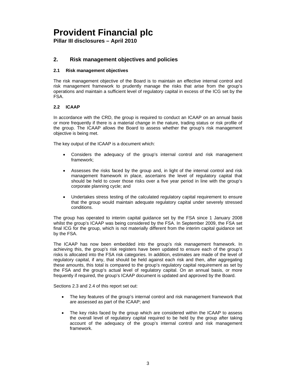**Pillar III disclosures – April 2010** 

### **2. Risk management objectives and policies**

### **2.1 Risk management objectives**

The risk management objective of the Board is to maintain an effective internal control and risk management framework to prudently manage the risks that arise from the group's operations and maintain a sufficient level of regulatory capital in excess of the ICG set by the FSA.

### **2.2 ICAAP**

In accordance with the CRD, the group is required to conduct an ICAAP on an annual basis or more frequently if there is a material change in the nature, trading status or risk profile of the group. The ICAAP allows the Board to assess whether the group's risk management objective is being met.

The key output of the ICAAP is a document which:

- Considers the adequacy of the group's internal control and risk management framework;
- Assesses the risks faced by the group and, in light of the internal control and risk management framework in place, ascertains the level of regulatory capital that should be held to cover those risks over a five year period in line with the group's corporate planning cycle; and
- Undertakes stress testing of the calculated regulatory capital requirement to ensure that the group would maintain adequate regulatory capital under severely stressed conditions.

The group has operated to interim capital guidance set by the FSA since 1 January 2008 whilst the group's ICAAP was being considered by the FSA. In September 2009, the FSA set final ICG for the group, which is not materially different from the interim capital guidance set by the FSA.

The ICAAP has now been embedded into the group's risk management framework. In achieving this, the group's risk registers have been updated to ensure each of the group's risks is allocated into the FSA risk categories. In addition, estimates are made of the level of regulatory capital, if any, that should be held against each risk and then, after aggregating these amounts, this total is compared to the group's regulatory capital requirement as set by the FSA and the group's actual level of regulatory capital. On an annual basis, or more frequently if required, the group's ICAAP document is updated and approved by the Board.

Sections 2.3 and 2.4 of this report set out:

- The key features of the group's internal control and risk management framework that are assessed as part of the ICAAP; and
- The key risks faced by the group which are considered within the ICAAP to assess the overall level of regulatory capital required to be held by the group after taking account of the adequacy of the group's internal control and risk management framework.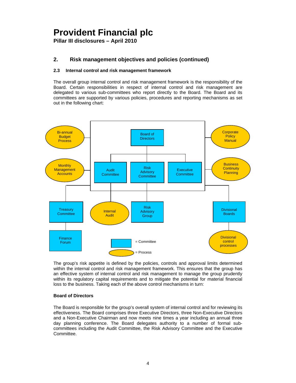**Pillar III disclosures – April 2010** 

## **2. Risk management objectives and policies (continued)**

### **2.3 Internal control and risk management framework**

The overall group internal control and risk management framework is the responsibility of the Board. Certain responsibilities in respect of internal control and risk management are delegated to various sub-committees who report directly to the Board. The Board and its committees are supported by various policies, procedures and reporting mechanisms as set out in the following chart:



The group's risk appetite is defined by the policies, controls and approval limits determined within the internal control and risk management framework. This ensures that the group has an effective system of internal control and risk management to manage the group prudently within its regulatory capital requirements and to mitigate the potential for material financial loss to the business. Taking each of the above control mechanisms in turn:

### **Board of Directors**

The Board is responsible for the group's overall system of internal control and for reviewing its effectiveness. The Board comprises three Executive Directors, three Non-Executive Directors and a Non-Executive Chairman and now meets nine times a year including an annual three day planning conference. The Board delegates authority to a number of formal subcommittees including the Audit Committee, the Risk Advisory Committee and the Executive Committee.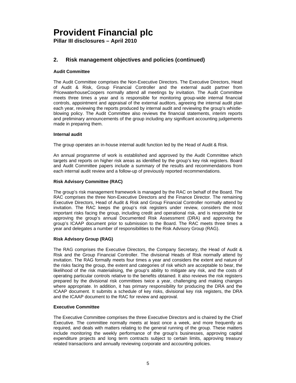**Pillar III disclosures – April 2010** 

## **2. Risk management objectives and policies (continued)**

### **Audit Committee**

The Audit Committee comprises the Non-Executive Directors. The Executive Directors, Head of Audit & Risk, Group Financial Controller and the external audit partner from PricewaterhouseCoopers normally attend all meetings by invitation. The Audit Committee meets three times a year and is responsible for monitoring group-wide internal financial controls, appointment and appraisal of the external auditors, agreeing the internal audit plan each year, reviewing the reports produced by internal audit and reviewing the group's whistleblowing policy. The Audit Committee also reviews the financial statements, interim reports and preliminary announcements of the group including any significant accounting judgements made in preparing them.

### **Internal audit**

The group operates an in-house internal audit function led by the Head of Audit & Risk.

An annual programme of work is established and approved by the Audit Committee which targets and reports on higher risk areas as identified by the group's key risk registers. Board and Audit Committee papers include a summary of the results and recommendations from each internal audit review and a follow-up of previously reported recommendations.

### **Risk Advisory Committee (RAC)**

The group's risk management framework is managed by the RAC on behalf of the Board. The RAC comprises the three Non-Executive Directors and the Finance Director. The remaining Executive Directors, Head of Audit & Risk and Group Financial Controller normally attend by invitation. The RAC keeps the group's risk registers under review, considers the most important risks facing the group, including credit and operational risk, and is responsible for approving the group's annual Documented Risk Assessment (DRA) and approving the group's ICAAP document prior to submission to the Board. The RAC meets three times a year and delegates a number of responsibilities to the Risk Advisory Group (RAG).

### **Risk Advisory Group (RAG)**

The RAG comprises the Executive Directors, the Company Secretary, the Head of Audit & Risk and the Group Financial Controller. The divisional Heads of Risk normally attend by invitation. The RAG formally meets four times a year and considers the extent and nature of the risks facing the group, the extent and categories of risk which are acceptable to bear, the likelihood of the risk materialising, the group's ability to mitigate any risk, and the costs of operating particular controls relative to the benefits obtained. It also reviews the risk registers prepared by the divisional risk committees twice a year, challenging and making changes where appropriate. In addition, it has primary responsibility for producing the DRA and the ICAAP document. It submits a schedule of key risks, divisional key risk registers, the DRA and the ICAAP document to the RAC for review and approval.

#### **Executive Committee**

The Executive Committee comprises the three Executive Directors and is chaired by the Chief Executive. The committee normally meets at least once a week, and more frequently as required, and deals with matters relating to the general running of the group. These matters include monitoring the weekly performance of the group's businesses, approving capital expenditure projects and long term contracts subject to certain limits, approving treasury related transactions and annually reviewing corporate and accounting policies.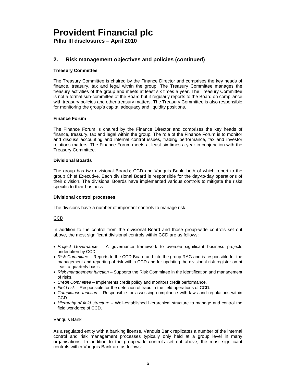**Pillar III disclosures – April 2010** 

## **2. Risk management objectives and policies (continued)**

### **Treasury Committee**

The Treasury Committee is chaired by the Finance Director and comprises the key heads of finance, treasury, tax and legal within the group. The Treasury Committee manages the treasury activities of the group and meets at least six times a year. The Treasury Committee is not a formal sub-committee of the Board but it regularly reports to the Board on compliance with treasury policies and other treasury matters. The Treasury Committee is also responsible for monitoring the group's capital adequacy and liquidity positions.

### **Finance Forum**

The Finance Forum is chaired by the Finance Director and comprises the key heads of finance, treasury, tax and legal within the group. The role of the Finance Forum is to monitor and discuss accounting and internal control issues, trading performance, tax and investor relations matters. The Finance Forum meets at least six times a year in conjunction with the Treasury Committee.

#### **Divisional Boards**

The group has two divisional Boards; CCD and Vanquis Bank, both of which report to the group Chief Executive. Each divisional Board is responsible for the day-to-day operations of their division. The divisional Boards have implemented various controls to mitigate the risks specific to their business.

#### **Divisional control processes**

The divisions have a number of important controls to manage risk.

#### CCD

In addition to the control from the divisional Board and those group-wide controls set out above, the most significant divisional controls within CCD are as follows:

- *Project Governance* A governance framework to oversee significant business projects undertaken by CCD.
- *Risk Committee* Reports to the CCD Board and into the group RAG and is responsible for the management and reporting of risk within CCD and for updating the divisional risk register on at least a quarterly basis.
- *Risk management function*  Supports the Risk Committee in the identification and management of risks.
- *Credit Committee*  Implements credit policy and monitors credit performance.
- *Field risk*  Responsible for the detection of fraud in the field operations of CCD.
- *Compliance function* Responsible for assessing compliance with laws and regulations within CCD.
- *Hierarchy of field structure* Well-established hierarchical structure to manage and control the field workforce of CCD.

#### Vanquis Bank

As a regulated entity with a banking license, Vanquis Bank replicates a number of the internal control and risk management processes typically only held at a group level in many organisations. In addition to the group-wide controls set out above, the most significant controls within Vanquis Bank are as follows: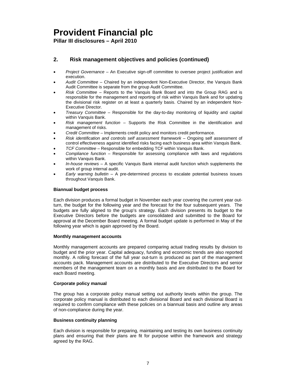**Pillar III disclosures – April 2010** 

## **2. Risk management objectives and policies (continued)**

- *Project Governance*  An Executive sign-off committee to oversee project justification and execution.
- *Audit Committee* Chaired by an independent Non-Executive Director, the Vanquis Bank Audit Committee is separate from the group Audit Committee.
- *Risk Committee* Reports to the Vanquis Bank Board and into the Group RAG and is responsible for the management and reporting of risk within Vanquis Bank and for updating the divisional risk register on at least a quarterly basis. Chaired by an independent Non-Executive Director.
- *Treasury Committee* Responsible for the day-to-day monitoring of liquidity and capital within Vanquis Bank.
- *Risk management function*  Supports the Risk Committee in the identification and management of risks.
- *Credit Committee*  Implements credit policy and monitors credit performance.
- *Risk identification and controls self assessment framework*  Ongoing self assessment of control effectiveness against identified risks facing each business area within Vanquis Bank.
- *TCF Committee*  Responsible for embedding TCF within Vanquis Bank.
- *Compliance function* Responsible for assessing compliance with laws and regulations within Vanquis Bank.
- *In-house reviews* A specific Vanquis Bank internal audit function which supplements the work of group internal audit.
- *Early warning bulletin* A pre-determined process to escalate potential business issues throughout Vanquis Bank.

#### **Biannual budget process**

Each division produces a formal budget in November each year covering the current year outturn, the budget for the following year and the forecast for the four subsequent years. The budgets are fully aligned to the group's strategy. Each division presents its budget to the Executive Directors before the budgets are consolidated and submitted to the Board for approval at the December Board meeting. A formal budget update is performed in May of the following year which is again approved by the Board.

#### **Monthly management accounts**

Monthly management accounts are prepared comparing actual trading results by division to budget and the prior year. Capital adequacy, funding and economic trends are also reported monthly. A rolling forecast of the full year out-turn is produced as part of the management accounts pack. Management accounts are distributed to the Executive Directors and senior members of the management team on a monthly basis and are distributed to the Board for each Board meeting.

#### **Corporate policy manual**

The group has a corporate policy manual setting out authority levels within the group. The corporate policy manual is distributed to each divisional Board and each divisional Board is required to confirm compliance with these policies on a biannual basis and outline any areas of non-compliance during the year.

#### **Business continuity planning**

Each division is responsible for preparing, maintaining and testing its own business continuity plans and ensuring that their plans are fit for purpose within the framework and strategy agreed by the RAG.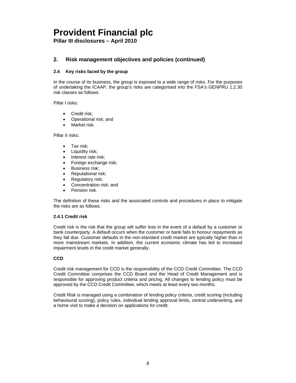**Pillar III disclosures – April 2010** 

## **2. Risk management objectives and policies (continued)**

### **2.4 Key risks faced by the group**

In the course of its business, the group is exposed to a wide range of risks. For the purposes of undertaking the ICAAP, the group's risks are categorised into the FSA's GENPRU 1.2.30 risk classes as follows:

Pillar I risks:

- Credit risk;
- Operational risk; and
- Market risk.

Pillar II risks:

- Tax risk;
- Liquidity risk;
- Interest rate risk;
- Foreign exchange risk;
- Business risk;
- Reputational risk;
- Regulatory risk;
- Concentration risk; and
- Pension risk.

The definition of these risks and the associated controls and procedures in place to mitigate the risks are as follows:

#### **2.4.1 Credit risk**

Credit risk is the risk that the group will suffer loss in the event of a default by a customer or bank counterparty. A default occurs when the customer or bank fails to honour repayments as they fall due. Customer defaults in the non-standard credit market are typically higher than in more mainstream markets. In addition, the current economic climate has led to increased impairment levels in the credit market generally.

### **CCD**

Credit risk management for CCD is the responsibility of the CCD Credit Committee. The CCD Credit Committee comprises the CCD Board and the Head of Credit Management and is responsible for approving product criteria and pricing. All changes to lending policy must be approved by the CCD Credit Committee, which meets at least every two months.

Credit Risk is managed using a combination of lending policy criteria, credit scoring (including behavioural scoring), policy rules, individual lending approval limits, central underwriting, and a home visit to make a decision on applications for credit.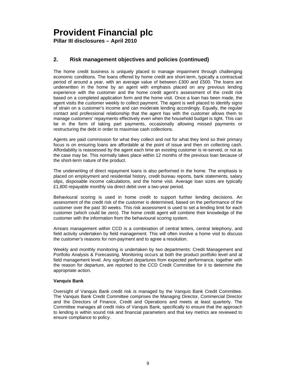**Pillar III disclosures – April 2010** 

## **2. Risk management objectives and policies (continued)**

The home credit business is uniquely placed to manage impairment through challenging economic conditions. The loans offered by home credit are short-term, typically a contractual period of around a year, with an average value of between £300 and £500. The loans are underwritten in the home by an agent with emphasis placed on any previous lending experience with the customer and the home credit agent's assessment of the credit risk based on a completed application form and the home visit. Once a loan has been made, the agent visits the customer weekly to collect payment. The agent is well placed to identify signs of strain on a customer's income and can moderate lending accordingly. Equally, the regular contact and professional relationship that the agent has with the customer allows them to manage customers' repayments effectively even when the household budget is tight. This can be in the form of taking part payments, occasionally allowing missed payments or restructuring the debt in order to maximise cash collections.

Agents are paid commission for what they collect and not for what they lend so their primary focus is on ensuring loans are affordable at the point of issue and then on collecting cash. Affordability is reassessed by the agent each time an existing customer is re-served, or not as the case may be. This normally takes place within 12 months of the previous loan because of the short-term nature of the product.

The underwriting of direct repayment loans is also performed in the home. The emphasis is placed on employment and residential history, credit bureau reports, bank statements, salary slips, disposable income calculations, and the home visit. Average loan sizes are typically £1,800 repayable monthly via direct debit over a two-year period.

Behavioural scoring is used in home credit to support further lending decisions. An assessment of the credit risk of the customer is determined, based on the performance of the customer over the past 30 weeks. This risk assessment is used to set a lending limit for each customer (which could be zero). The home credit agent will combine their knowledge of the customer with the information from the behavioural scoring system.

Arrears management within CCD is a combination of central letters, central telephony, and field activity undertaken by field management. This will often involve a home visit to discuss the customer's reasons for non-payment and to agree a resolution.

Weekly and monthly monitoring is undertaken by two departments: Credit Management and Portfolio Analysis & Forecasting. Monitoring occurs at both the product portfolio level and at field management level. Any significant departures from expected performance, together with the reason for departure, are reported to the CCD Credit Committee for it to determine the appropriate action.

#### **Vanquis Bank**

Oversight of Vanquis Bank credit risk is managed by the Vanquis Bank Credit Committee. The Vanquis Bank Credit Committee comprises the Managing Director, Commercial Director and the Directors of Finance, Credit and Operations and meets at least quarterly. The Committee manages all credit risks of Vanquis Bank, specifically to ensure that the approach to lending is within sound risk and financial parameters and that key metrics are reviewed to ensure compliance to policy.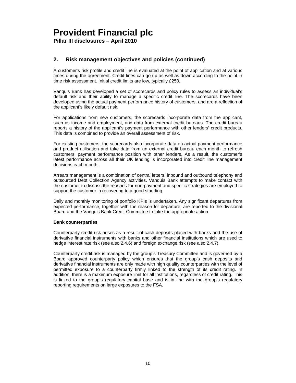**Pillar III disclosures – April 2010** 

## **2. Risk management objectives and policies (continued)**

A customer's risk profile and credit line is evaluated at the point of application and at various times during the agreement. Credit lines can go up as well as down according to the point in time risk assessment. Initial credit limits are low, typically £250.

Vanquis Bank has developed a set of scorecards and policy rules to assess an individual's default risk and their ability to manage a specific credit line. The scorecards have been developed using the actual payment performance history of customers, and are a reflection of the applicant's likely default risk.

For applications from new customers, the scorecards incorporate data from the applicant, such as income and employment, and data from external credit bureaus. The credit bureau reports a history of the applicant's payment performance with other lenders' credit products. This data is combined to provide an overall assessment of risk.

For existing customers, the scorecards also incorporate data on actual payment performance and product utilisation and take data from an external credit bureau each month to refresh customers' payment performance position with other lenders. As a result, the customer's latest performance across all their UK lending is incorporated into credit line management decisions each month.

Arrears management is a combination of central letters, inbound and outbound telephony and outsourced Debt Collection Agency activities. Vanquis Bank attempts to make contact with the customer to discuss the reasons for non-payment and specific strategies are employed to support the customer in recovering to a good standing.

Daily and monthly monitoring of portfolio KPIs is undertaken. Any significant departures from expected performance, together with the reason for departure, are reported to the divisional Board and the Vanquis Bank Credit Committee to take the appropriate action.

#### **Bank counterparties**

Counterparty credit risk arises as a result of cash deposits placed with banks and the use of derivative financial instruments with banks and other financial institutions which are used to hedge interest rate risk (see also 2.4.6) and foreign exchange risk (see also 2.4.7).

Counterparty credit risk is managed by the group's Treasury Committee and is governed by a Board approved counterparty policy which ensures that the group's cash deposits and derivative financial instruments are only made with high quality counterparties with the level of permitted exposure to a counterparty firmly linked to the strength of its credit rating. In addition, there is a maximum exposure limit for all institutions, regardless of credit rating. This is linked to the group's regulatory capital base and is in line with the group's regulatory reporting requirements on large exposures to the FSA.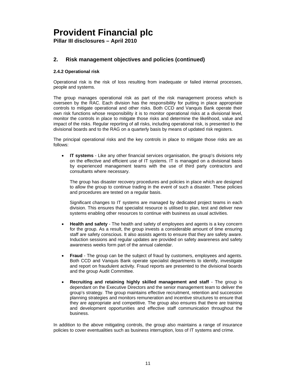**Pillar III disclosures – April 2010** 

## **2. Risk management objectives and policies (continued)**

### **2.4.2 Operational risk**

Operational risk is the risk of loss resulting from inadequate or failed internal processes, people and systems.

The group manages operational risk as part of the risk management process which is overseen by the RAC. Each division has the responsibility for putting in place appropriate controls to mitigate operational and other risks. Both CCD and Vanquis Bank operate their own risk functions whose responsibility it is to monitor operational risks at a divisional level, monitor the controls in place to mitigate those risks and determine the likelihood, value and impact of the risks. Regular reporting of all risks, including operational risk, is presented to the divisional boards and to the RAG on a quarterly basis by means of updated risk registers.

The principal operational risks and the key controls in place to mitigate those risks are as follows:

• **IT systems** - Like any other financial services organisation, the group's divisions rely on the effective and efficient use of IT systems. IT is managed on a divisional basis by experienced management teams with the use of third party contractors and consultants where necessary.

The group has disaster recovery procedures and policies in place which are designed to allow the group to continue trading in the event of such a disaster. These policies and procedures are tested on a regular basis.

Significant changes to IT systems are managed by dedicated project teams in each division. This ensures that specialist resource is utilised to plan, test and deliver new systems enabling other resources to continue with business as usual activities.

- **Health and safety**  The health and safety of employees and agents is a key concern for the group. As a result, the group invests a considerable amount of time ensuring staff are safety conscious. It also assists agents to ensure that they are safety aware. Induction sessions and regular updates are provided on safety awareness and safety awareness weeks form part of the annual calendar.
- **Fraud**  The group can be the subject of fraud by customers, employees and agents. Both CCD and Vanquis Bank operate specialist departments to identify, investigate and report on fraudulent activity. Fraud reports are presented to the divisional boards and the group Audit Committee.
- **Recruiting and retaining highly skilled management and staff** The group is dependant on the Executive Directors and the senior management team to deliver the group's strategy. The group maintains effective recruitment, retention and succession planning strategies and monitors remuneration and incentive structures to ensure that they are appropriate and competitive. The group also ensures that there are training and development opportunities and effective staff communication throughout the business.

In addition to the above mitigating controls, the group also maintains a range of insurance policies to cover eventualities such as business interruption, loss of IT systems and crime.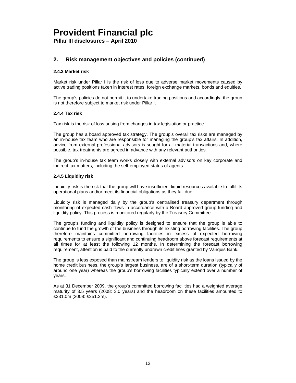**Pillar III disclosures – April 2010** 

## **2. Risk management objectives and policies (continued)**

### **2.4.3 Market risk**

Market risk under Pillar I is the risk of loss due to adverse market movements caused by active trading positions taken in interest rates, foreign exchange markets, bonds and equities.

The group's policies do not permit it to undertake trading positions and accordingly, the group is not therefore subject to market risk under Pillar I.

#### **2.4.4 Tax risk**

Tax risk is the risk of loss arising from changes in tax legislation or practice.

The group has a board approved tax strategy. The group's overall tax risks are managed by an in-house tax team who are responsible for managing the group's tax affairs. In addition, advice from external professional advisors is sought for all material transactions and, where possible, tax treatments are agreed in advance with any relevant authorities.

The group's in-house tax team works closely with external advisors on key corporate and indirect tax matters, including the self-employed status of agents.

#### **2.4.5 Liquidity risk**

Liquidity risk is the risk that the group will have insufficient liquid resources available to fulfil its operational plans and/or meet its financial obligations as they fall due.

Liquidity risk is managed daily by the group's centralised treasury department through monitoring of expected cash flows in accordance with a Board approved group funding and liquidity policy. This process is monitored regularly by the Treasury Committee.

The group's funding and liquidity policy is designed to ensure that the group is able to continue to fund the growth of the business through its existing borrowing facilities. The group therefore maintains committed borrowing facilities in excess of expected borrowing requirements to ensure a significant and continuing headroom above forecast requirements at all times for at least the following 12 months. In determining the forecast borrowing requirement, attention is paid to the currently undrawn credit lines granted by Vanquis Bank.

The group is less exposed than mainstream lenders to liquidity risk as the loans issued by the home credit business, the group's largest business, are of a short-term duration (typically of around one year) whereas the group's borrowing facilities typically extend over a number of years.

As at 31 December 2009, the group's committed borrowing facilities had a weighted average maturity of 3.5 years (2008: 3.0 years) and the headroom on these facilities amounted to £331.0m (2008: £251.2m).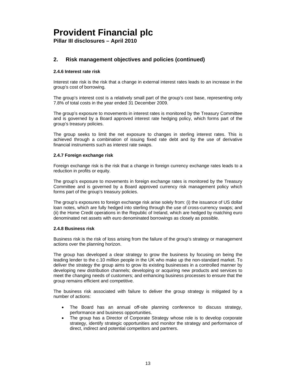**Pillar III disclosures – April 2010** 

## **2. Risk management objectives and policies (continued)**

### **2.4.6 Interest rate risk**

Interest rate risk is the risk that a change in external interest rates leads to an increase in the group's cost of borrowing.

The group's interest cost is a relatively small part of the group's cost base, representing only 7.8% of total costs in the year ended 31 December 2009.

The group's exposure to movements in interest rates is monitored by the Treasury Committee and is governed by a Board approved interest rate hedging policy, which forms part of the group's treasury policies.

The group seeks to limit the net exposure to changes in sterling interest rates. This is achieved through a combination of issuing fixed rate debt and by the use of derivative financial instruments such as interest rate swaps.

#### **2.4.7 Foreign exchange risk**

Foreign exchange risk is the risk that a change in foreign currency exchange rates leads to a reduction in profits or equity.

The group's exposure to movements in foreign exchange rates is monitored by the Treasury Committee and is governed by a Board approved currency risk management policy which forms part of the group's treasury policies.

The group's exposures to foreign exchange risk arise solely from: (i) the issuance of US dollar loan notes, which are fully hedged into sterling through the use of cross-currency swaps; and (ii) the Home Credit operations in the Republic of Ireland, which are hedged by matching euro denominated net assets with euro denominated borrowings as closely as possible.

#### **2.4.8 Business risk**

Business risk is the risk of loss arising from the failure of the group's strategy or management actions over the planning horizon.

The group has developed a clear strategy to grow the business by focusing on being the leading lender to the c.10 million people in the UK who make up the non-standard market. To deliver the strategy the group aims to grow its existing businesses in a controlled manner by developing new distribution channels; developing or acquiring new products and services to meet the changing needs of customers; and enhancing business processes to ensure that the group remains efficient and competitive.

The business risk associated with failure to deliver the group strategy is mitigated by a number of actions:

- The Board has an annual off-site planning conference to discuss strategy, performance and business opportunities.
- The group has a Director of Corporate Strategy whose role is to develop corporate strategy, identify strategic opportunities and monitor the strategy and performance of direct, indirect and potential competitors and partners.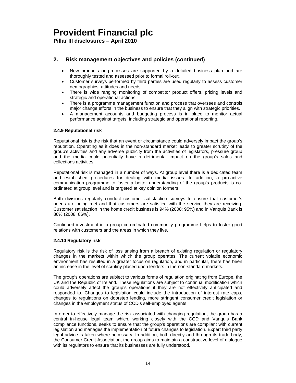**Pillar III disclosures – April 2010** 

## **2. Risk management objectives and policies (continued)**

- New products or processes are supported by a detailed business plan and are thoroughly tested and assessed prior to formal roll-out.
- Customer surveys performed by third parties are used regularly to assess customer demographics, attitudes and needs.
- There is wide ranging monitoring of competitor product offers, pricing levels and strategic and operational actions.
- There is a programme management function and process that oversees and controls major change efforts in the business to ensure that they align with strategic priorities.
- A management accounts and budgeting process is in place to monitor actual performance against targets, including strategic and operational reporting.

#### **2.4.9 Reputational risk**

Reputational risk is the risk that an event or circumstance could adversely impact the group's reputation. Operating as it does in the non-standard market leads to greater scrutiny of the group's activities and any adverse publicity from the activities of legislators, pressure group and the media could potentially have a detrimental impact on the group's sales and collections activities.

Reputational risk is managed in a number of ways. At group level there is a dedicated team and established procedures for dealing with media issues. In addition, a pro-active communication programme to foster a better understanding of the group's products is coordinated at group level and is targeted at key opinion formers.

Both divisions regularly conduct customer satisfaction surveys to ensure that customer's needs are being met and that customers are satisfied with the service they are receiving. Customer satisfaction in the home credit business is 94% (2008: 95%) and in Vanquis Bank is 86% (2008: 86%).

Continued investment in a group co-ordinated community programme helps to foster good relations with customers and the areas in which they live.

### **2.4.10 Regulatory risk**

Regulatory risk is the risk of loss arising from a breach of existing regulation or regulatory changes in the markets within which the group operates. The current volatile economic environment has resulted in a greater focus on regulation, and in particular, there has been an increase in the level of scrutiny placed upon lenders in the non-standard markets.

The group's operations are subject to various forms of regulation originating from Europe, the UK and the Republic of Ireland. These regulations are subject to continual modification which could adversely affect the group's operations if they are not effectively anticipated and responded to. Changes to legislation could include the introduction of interest rate caps, changes to regulations on doorstep lending, more stringent consumer credit legislation or changes in the employment status of CCD's self-employed agents.

In order to effectively manage the risk associated with changing regulation, the group has a central in-house legal team which, working closely with the CCD and Vanquis Bank compliance functions, seeks to ensure that the group's operations are compliant with current legislation and manages the implementation of future changes to legislation. Expert third party legal advice is taken where necessary. In addition, both directly and through its trade body, the Consumer Credit Association, the group aims to maintain a constructive level of dialogue with its regulators to ensure that its businesses are fully understood.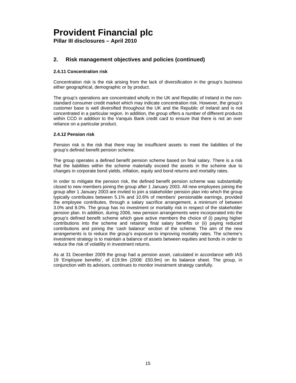**Pillar III disclosures – April 2010** 

## **2. Risk management objectives and policies (continued)**

### **2.4.11 Concentration risk**

Concentration risk is the risk arising from the lack of diversification in the group's business either geographical, demographic or by product.

The group's operations are concentrated wholly in the UK and Republic of Ireland in the nonstandard consumer credit market which may indicate concentration risk. However, the group's customer base is well diversified throughout the UK and the Republic of Ireland and is not concentrated in a particular region. In addition, the group offers a number of different products within CCD in addition to the Vanquis Bank credit card to ensure that there is not an over reliance on a particular product.

### **2.4.12 Pension risk**

Pension risk is the risk that there may be insufficient assets to meet the liabilities of the group's defined benefit pension scheme.

The group operates a defined benefit pension scheme based on final salary. There is a risk that the liabilities within the scheme materially exceed the assets in the scheme due to changes in corporate bond yields, inflation, equity and bond returns and mortality rates.

In order to mitigate the pension risk, the defined benefit pension scheme was substantially closed to new members joining the group after 1 January 2003. All new employees joining the group after 1 January 2003 are invited to join a stakeholder pension plan into which the group typically contributes between 5.1% and 10.6% of members' pensionable earnings, provided the employee contributes, through a salary sacrifice arrangement, a minimum of between 3.0% and 8.0%. The group has no investment or mortality risk in respect of the stakeholder pension plan. In addition, during 2006, new pension arrangements were incorporated into the group's defined benefit scheme which gave active members the choice of (i) paying higher contributions into the scheme and retaining final salary benefits or (ii) paying reduced contributions and joining the 'cash balance' section of the scheme. The aim of the new arrangements is to reduce the group's exposure to improving mortality rates. The scheme's investment strategy is to maintain a balance of assets between equities and bonds in order to reduce the risk of volatility in investment returns.

As at 31 December 2009 the group had a pension asset, calculated in accordance with IAS 19 'Employee benefits', of £19.9m (2008: £50.9m) on its balance sheet. The group, in conjunction with its advisors, continues to monitor investment strategy carefully.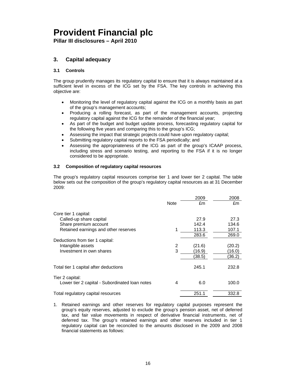**Pillar III disclosures – April 2010** 

## **3. Capital adequacy**

### **3.1 Controls**

The group prudently manages its regulatory capital to ensure that it is always maintained at a sufficient level in excess of the ICG set by the FSA. The key controls in achieving this objective are:

- Monitoring the level of regulatory capital against the ICG on a monthly basis as part of the group's management accounts;
- Producing a rolling forecast, as part of the management accounts, projecting regulatory capital against the ICG for the remainder of the financial year;
- As part of the budget and budget update process, forecasting regulatory capital for the following five years and comparing this to the group's ICG;
- Assessing the impact that strategic projects could have upon regulatory capital;
- Submitting regulatory capital reports to the FSA periodically; and
- Assessing the appropriateness of the ICG as part of the group's ICAAP process, including stress and scenario testing, and reporting to the FSA if it is no longer considered to be appropriate.

### **3.2 Composition of regulatory capital resources**

The group's regulatory capital resources comprise tier 1 and lower tier 2 capital. The table below sets out the composition of the group's regulatory capital resources as at 31 December 2009:

|                                                |      | 2009   | 2008   |
|------------------------------------------------|------|--------|--------|
|                                                | Note | £m     | £m     |
| Core tier 1 capital:                           |      |        |        |
| Called-up share capital                        |      | 27.9   | 27.3   |
| Share premium account                          |      | 142.4  | 134.6  |
| Retained earnings and other reserves           | 1    | 113.3  | 107.1  |
|                                                |      | 283.6  | 269.0  |
| Deductions from tier 1 capital:                |      |        |        |
| Intangible assets                              | 2    | (21.6) | (20.2) |
| Investment in own shares                       | 3    | (16.9) | (16.0) |
|                                                |      | 38.5)  | (36.2) |
| Total tier 1 capital after deductions          |      | 245.1  | 232.8  |
| Tier 2 capital:                                |      |        |        |
| Lower tier 2 capital - Subordinated Ioan notes | 4    | 6.0    | 100.0  |
| Total regulatory capital resources             |      | 251.1  | 332.8  |

1. Retained earnings and other reserves for regulatory capital purposes represent the group's equity reserves, adjusted to exclude the group's pension asset, net of deferred tax, and fair value movements in respect of derivative financial instruments, net of deferred tax. The group's retained earnings and other reserves included in tier 1 regulatory capital can be reconciled to the amounts disclosed in the 2009 and 2008 financial statements as follows: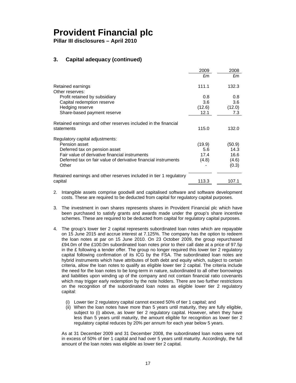**Pillar III disclosures – April 2010** 

## **3. Capital adequacy (continued)**

|                                                                    | 2009   | 2008   |
|--------------------------------------------------------------------|--------|--------|
|                                                                    | £m     | £m     |
| Retained earnings                                                  | 111.1  | 132.3  |
| Other reserves:                                                    |        |        |
| Profit retained by subsidiary                                      | 0.8    | 0.8    |
| Capital redemption reserve                                         | 3.6    | 3.6    |
| Hedging reserve                                                    | (12.6) | (12.0) |
| Share-based payment reserve                                        | 12.1   | 7.3    |
| Retained earnings and other reserves included in the financial     |        |        |
| statements                                                         | 115.0  | 132.0  |
| Regulatory capital adjustments:                                    |        |        |
| Pension asset                                                      | (19.9) | (50.9) |
| Deferred tax on pension asset                                      | 5.6    | 14.3   |
| Fair value of derivative financial instruments                     | 17.4   | 16.6   |
| Deferred tax on fair value of derivative financial instruments     | (4.8)  | (4.6)  |
| Other                                                              |        | (0.3)  |
| Retained earnings and other reserves included in tier 1 regulatory |        |        |
| capital                                                            | 113.3  | 107.1  |

2. Intangible assets comprise goodwill and capitalised software and software development costs. These are required to be deducted from capital for regulatory capital purposes.

- 3. The investment in own shares represents shares in Provident Financial plc which have been purchased to satisfy grants and awards made under the group's share incentive schemes. These are required to be deducted from capital for regulatory capital purposes.
- 4. The group's lower tier 2 capital represents subordinated loan notes which are repayable on 15 June 2015 and accrue interest at 7.125%. The company has the option to redeem the loan notes at par on 15 June 2010. On 23 October 2009, the group repurchased £94.0m of the £100.0m subordinated loan notes prior to their call date at a price of 97.5p in the  $E$  following a tender offer. The group no longer required this lower tier 2 regulatory capital following confirmation of its ICG by the FSA. The subordinated loan notes are hybrid instruments which have attributes of both debt and equity which, subject to certain criteria, allow the loan notes to qualify as eligible lower tier 2 capital. The criteria include the need for the loan notes to be long-term in nature, subordinated to all other borrowings and liabilities upon winding up of the company and not contain financial ratio covenants which may trigger early redemption by the note holders. There are two further restrictions on the recognition of the subordinated loan notes as eligible lower tier 2 regulatory capital:
	- (i) Lower tier 2 regulatory capital cannot exceed 50% of tier 1 capital; and
	- (ii) When the loan notes have more than 5 years until maturity, they are fully eligible, subject to (i) above, as lower tier 2 regulatory capital. However, when they have less than 5 years until maturity, the amount eligible for recognition as lower tier 2 regulatory capital reduces by 20% per annum for each year below 5 years.

As at 31 December 2009 and 31 December 2008, the subordinated loan notes were not in excess of 50% of tier 1 capital and had over 5 years until maturity. Accordingly, the full amount of the loan notes was eligible as lower tier 2 capital.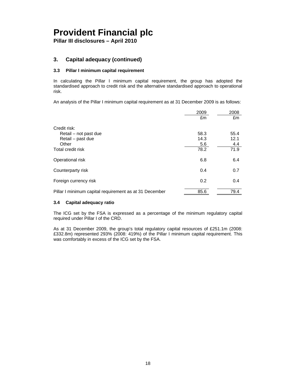**Pillar III disclosures – April 2010** 

### **3. Capital adequacy (continued)**

### **3.3 Pillar I minimum capital requirement**

In calculating the Pillar I minimum capital requirement, the group has adopted the standardised approach to credit risk and the alternative standardised approach to operational risk.

An analysis of the Pillar I minimum capital requirement as at 31 December 2009 is as follows:

|                                                        | 2009 | 2008 |
|--------------------------------------------------------|------|------|
|                                                        | £m   | £m   |
| Credit risk:                                           |      |      |
| Retail – not past due                                  | 58.3 | 55.4 |
| Retail – past due                                      | 14.3 | 12.1 |
| Other                                                  | 5.6  | 4.4  |
| Total credit risk                                      | 78.2 | 71.9 |
| Operational risk                                       | 6.8  | 6.4  |
| Counterparty risk                                      | 0.4  | 0.7  |
| Foreign currency risk                                  | 0.2  | 0.4  |
| Pillar I minimum capital requirement as at 31 December | 85.6 | 79.4 |

#### **3.4 Capital adequacy ratio**

The ICG set by the FSA is expressed as a percentage of the minimum regulatory capital required under Pillar I of the CRD.

As at 31 December 2009, the group's total regulatory capital resources of £251.1m (2008: £332.8m) represented 293% (2008: 419%) of the Pillar I minimum capital requirement. This was comfortably in excess of the ICG set by the FSA.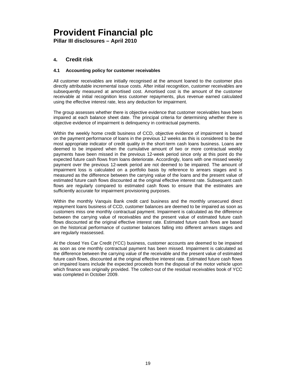**Pillar III disclosures – April 2010** 

### **4. Credit risk**

### **4.1 Accounting policy for customer receivables**

All customer receivables are initially recognised at the amount loaned to the customer plus directly attributable incremental issue costs. After initial recognition, customer receivables are subsequently measured at amortised cost. Amortised cost is the amount of the customer receivable at initial recognition less customer repayments, plus revenue earned calculated using the effective interest rate, less any deduction for impairment.

The group assesses whether there is objective evidence that customer receivables have been impaired at each balance sheet date. The principal criteria for determining whether there is objective evidence of impairment is delinquency in contractual payments.

Within the weekly home credit business of CCD, objective evidence of impairment is based on the payment performance of loans in the previous 12 weeks as this is considered to be the most appropriate indicator of credit quality in the short-term cash loans business. Loans are deemed to be impaired when the cumulative amount of two or more contractual weekly payments have been missed in the previous 12-week period since only at this point do the expected future cash flows from loans deteriorate. Accordingly, loans with one missed weekly payment over the previous 12-week period are not deemed to be impaired. The amount of impairment loss is calculated on a portfolio basis by reference to arrears stages and is measured as the difference between the carrying value of the loans and the present value of estimated future cash flows discounted at the original effective interest rate. Subsequent cash flows are regularly compared to estimated cash flows to ensure that the estimates are sufficiently accurate for impairment provisioning purposes.

Within the monthly Vanquis Bank credit card business and the monthly unsecured direct repayment loans business of CCD, customer balances are deemed to be impaired as soon as customers miss one monthly contractual payment. Impairment is calculated as the difference between the carrying value of receivables and the present value of estimated future cash flows discounted at the original effective interest rate. Estimated future cash flows are based on the historical performance of customer balances falling into different arrears stages and are regularly reassessed.

At the closed Yes Car Credit (YCC) business, customer accounts are deemed to be impaired as soon as one monthly contractual payment has been missed. Impairment is calculated as the difference between the carrying value of the receivable and the present value of estimated future cash flows, discounted at the original effective interest rate. Estimated future cash flows on impaired loans include the expected proceeds from the disposal of the motor vehicle upon which finance was originally provided. The collect-out of the residual receivables book of YCC was completed in October 2009.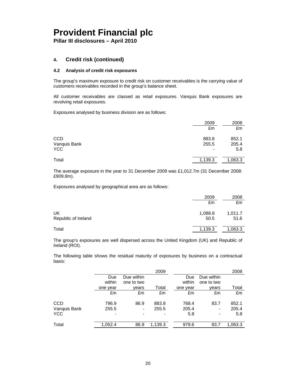**Pillar III disclosures – April 2010** 

### **4. Credit risk (continued)**

### **4.2 Analysis of credit risk exposures**

The group's maximum exposure to credit risk on customer receivables is the carrying value of customers receivables recorded in the group's balance sheet.

All customer receivables are classed as retail exposures. Vanquis Bank exposures are revolving retail exposures.

Exposures analysed by business division are as follows:

|              | 2009    | 2008    |
|--------------|---------|---------|
|              | £m      | £m      |
| <b>CCD</b>   | 883.8   | 852.1   |
| Vanquis Bank | 255.5   | 205.4   |
| <b>YCC</b>   | $\,$    | 5.8     |
| Total        | 1,139.3 | 1,063.3 |

The average exposure in the year to 31 December 2009 was £1,012.7m (31 December 2008: £909.8m).

Exposures analysed by geographical area are as follows:

|                           | 2009            | 2008            |
|---------------------------|-----------------|-----------------|
|                           | £m              | £m              |
| UK<br>Republic of Ireland | 1,088.8<br>50.5 | 1,011.7<br>51.6 |
| Total                     | 1,139.3         | 1,063.3         |

The group's exposures are well dispersed across the United Kingdom (UK) and Republic of Ireland (ROI).

The following table shows the residual maturity of exposures by business on a contractual basis:

|              |                          |                          | 2009    |          |            | 2008    |
|--------------|--------------------------|--------------------------|---------|----------|------------|---------|
|              | Due                      | Due within               |         | Due      | Due within |         |
|              | within                   | one to two               |         | within   | one to two |         |
|              | one year                 | vears                    | Total   | one year | vears      | Total   |
|              | £m                       | £m                       | £m      | £m       | £m         | £m      |
| <b>CCD</b>   | 796.9                    | 86.9                     | 883.8   | 768.4    | 83.7       | 852.1   |
| Vanquis Bank | 255.5                    | $\overline{\phantom{a}}$ | 255.5   | 205.4    |            | 205.4   |
| <b>YCC</b>   | $\overline{\phantom{a}}$ |                          |         | 5.8      |            | 5.8     |
| Total        | 1,052.4                  | 86.9                     | 1,139.3 | 979.6    | 83.7       | 1,063.3 |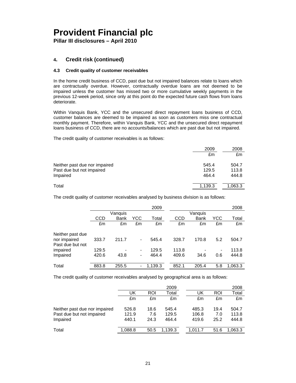**Pillar III disclosures – April 2010** 

## **4. Credit risk (continued)**

### **4.3 Credit quality of customer receivables**

In the home credit business of CCD, past due but not impaired balances relate to loans which are contractually overdue. However, contractually overdue loans are not deemed to be impaired unless the customer has missed two or more cumulative weekly payments in the previous 12-week period, since only at this point do the expected future cash flows from loans deteriorate.

Within Vanquis Bank, YCC and the unsecured direct repayment loans business of CCD, customer balances are deemed to be impaired as soon as customers miss one contractual monthly payment. Therefore, within Vanquis Bank, YCC and the unsecured direct repayment loans business of CCD, there are no accounts/balances which are past due but not impaired.

The credit quality of customer receivables is as follows:

|                               | 2009    | 2008    |
|-------------------------------|---------|---------|
|                               | £m      | £m      |
| Neither past due nor impaired | 545.4   | 504.7   |
| Past due but not impaired     | 129.5   | 113.8   |
| Impaired                      | 464.4   | 444.8   |
| Total                         | 1,139.3 | 1,063.3 |

The credit quality of customer receivables analysed by business division is as follows:

|                                  |       |         |     | 2009    |       |         |                | 2008    |
|----------------------------------|-------|---------|-----|---------|-------|---------|----------------|---------|
|                                  |       | Vanquis |     |         |       | Vanquis |                |         |
|                                  | CCD   | Bank    | YCC | Total   | CCD   | Bank    | YCC            | Total   |
|                                  | £m    | £m      | £m  | £m      | £m    | £m      | £m             | £m      |
| Neither past due<br>nor impaired | 333.7 | 211.7   | -   | 545.4   | 328.7 | 170.8   | 5.2            | 504.7   |
| Past due but not                 |       |         |     |         |       |         |                |         |
| impaired                         | 129.5 |         | -   | 129.5   | 113.8 |         | $\blacksquare$ | 113.8   |
| Impaired                         | 420.6 | 43.8    | -   | 464.4   | 409.6 | 34.6    | 0.6            | 444.8   |
|                                  |       |         |     |         |       |         |                |         |
| Total                            | 883.8 | 255.5   |     | 1.139.3 | 852.1 | 205.4   | 5.8            | 1,063.3 |

The credit quality of customer receivables analysed by geographical area is as follows:

|                               |         |            | 2009    |         |            | 2008    |
|-------------------------------|---------|------------|---------|---------|------------|---------|
|                               | UK      | <b>ROI</b> | Total   | UK      | <b>ROI</b> | Total   |
|                               | £m      | £m         | £m      | £m      | £m         | £m      |
| Neither past due nor impaired | 526.8   | 18.6       | 545.4   | 485.3   | 19.4       | 504.7   |
| Past due but not impaired     | 121.9   | 7.6        | 129.5   | 106.8   | 7.0        | 113.8   |
| Impaired                      | 440.1   | 24.3       | 464.4   | 419.6   | 25.2       | 444.8   |
| Total                         | 1.088.8 | 50.5       | 1.139.3 | 1.011.7 | 51.6       | 1.063.3 |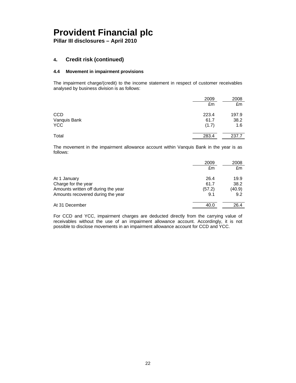**Pillar III disclosures – April 2010** 

### **4. Credit risk (continued)**

### **4.4 Movement in impairment provisions**

The impairment charge/(credit) to the income statement in respect of customer receivables analysed by business division is as follows:

|              | 2009  | 2008  |
|--------------|-------|-------|
|              | £m    | £m    |
| <b>CCD</b>   | 223.4 | 197.9 |
| Vanquis Bank | 61.7  | 38.2  |
| <b>YCC</b>   | (1.7) | 1.6   |
| Total        | 283.4 | 237.7 |

The movement in the impairment allowance account within Vanquis Bank in the year is as follows:

|                                     | 2009   | 2008   |
|-------------------------------------|--------|--------|
|                                     | £m     | £m     |
| At 1 January                        | 26.4   | 19.9   |
| Charge for the year                 | 61.7   | 38.2   |
| Amounts written off during the year | (57.2) | (40.9) |
| Amounts recovered during the year   | 9.1    | 9.2    |
| At 31 December                      | 40.0   | 26.4   |

For CCD and YCC, impairment charges are deducted directly from the carrying value of receivables without the use of an impairment allowance account. Accordingly, it is not possible to disclose movements in an impairment allowance account for CCD and YCC.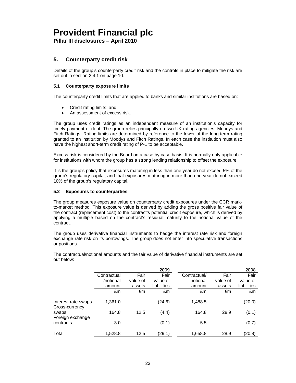**Pillar III disclosures – April 2010** 

## **5. Counterparty credit risk**

Details of the group's counterparty credit risk and the controls in place to mitigate the risk are set out in section 2.4.1 on page 10.

### **5.1 Counterparty exposure limits**

The counterparty credit limits that are applied to banks and similar institutions are based on:

- Credit rating limits; and
- An assessment of excess risk.

The group uses credit ratings as an independent measure of an institution's capacity for timely payment of debt. The group relies principally on two UK rating agencies; Moodys and Fitch Ratings. Rating limits are determined by reference to the lower of the long-term rating granted to an institution by Moodys and Fitch Ratings. In each case the institution must also have the highest short-term credit rating of P-1 to be acceptable.

Excess risk is considered by the Board on a case by case basis. It is normally only applicable for institutions with whom the group has a strong lending relationship to offset the exposure.

It is the group's policy that exposures maturing in less than one year do not exceed 5% of the group's regulatory capital, and that exposures maturing in more than one year do not exceed 10% of the group's regulatory capital.

### **5.2 Exposures to counterparties**

The group measures exposure value on counterparty credit exposures under the CCR markto-market method. This exposure value is derived by adding the gross positive fair value of the contract (replacement cost) to the contract's potential credit exposure, which is derived by applying a multiple based on the contract's residual maturity to the notional value of the contract.

The group uses derivative financial instruments to hedge the interest rate risk and foreign exchange rate risk on its borrowings. The group does not enter into speculative transactions or positions.

|                                       |             |          | 2009        |              |          | 2008        |
|---------------------------------------|-------------|----------|-------------|--------------|----------|-------------|
|                                       | Contractual | Fair     | Fair        | Contractual/ | Fair     | Fair        |
|                                       | /notional   | value of | value of    | notional     | value of | value of    |
|                                       | amount      | assets   | liabilities | amount       | assets   | liabilities |
|                                       | £m          | £m       | £m          | £m           | £m       | £m          |
| Interest rate swaps<br>Cross-currency | 1,361.0     |          | (24.6)      | 1,488.5      |          | (20.0)      |
| swaps<br>Foreign exchange             | 164.8       | 12.5     | (4.4)       | 164.8        | 28.9     | (0.1)       |
| contracts                             | 3.0         |          | (0.1)       | 5.5          |          | (0.7)       |
| Total                                 | 1,528.8     | 12.5     | (29.1)      | 1,658.8      | 28.9     | (20.8)      |

The contractual/notional amounts and the fair value of derivative financial instruments are set out below: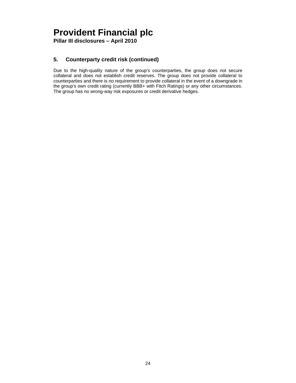**Pillar III disclosures – April 2010** 

## **5. Counterparty credit risk (continued)**

Due to the high-quality nature of the group's counterparties, the group does not secure collateral and does not establish credit reserves. The group does not provide collateral to counterparties and there is no requirement to provide collateral in the event of a downgrade in the group's own credit rating (currently BBB+ with Fitch Ratings) or any other circumstances. The group has no wrong-way risk exposures or credit derivative hedges.